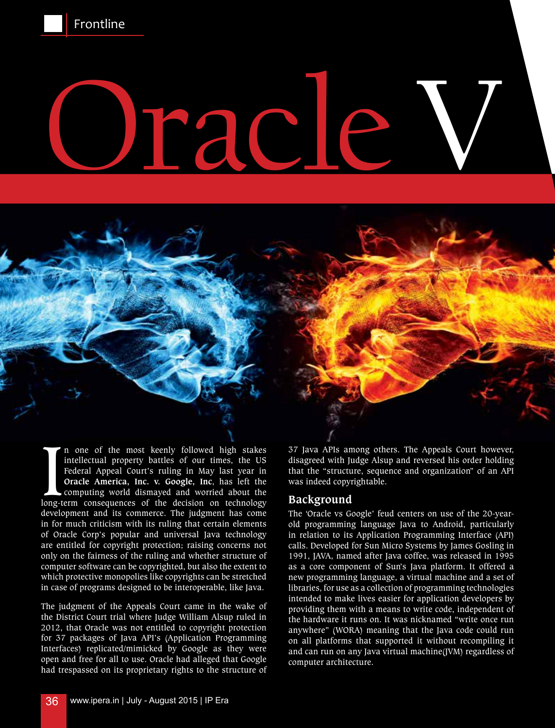

# Oracle V

In one of the most keenly followed high stakes<br>intellectual property battles of our times, the US<br>Federal Appeal Court's ruling in May last year in<br>**Oracle America, Inc. v. Google, Inc.** has left the<br>computing world dismay n one of the most keenly followed high stakes intellectual property battles of our times, the US Federal Appeal Court's ruling in May last year in **Oracle America, Inc. v. Google, Inc**, has left the computing world dismayed and worried about the development and its commerce. The judgment has come in for much criticism with its ruling that certain elements of Oracle Corp's popular and universal Java technology are entitled for copyright protection; raising concerns not only on the fairness of the ruling and whether structure of computer software can be copyrighted, but also the extent to which protective monopolies like copyrights can be stretched in case of programs designed to be interoperable, like Java.

The judgment of the Appeals Court came in the wake of the District Court trial where Judge William Alsup ruled in 2012, that Oracle was not entitled to copyright protection for 37 packages of Java API's (Application Programming Interfaces) replicated/mimicked by Google as they were open and free for all to use. Oracle had alleged that Google had trespassed on its proprietary rights to the structure of

37 Java APIs among others. The Appeals Court however, disagreed with Judge Alsup and reversed his order holding that the "structure, sequence and organization" of an API was indeed copyrightable.

### **Background**

The 'Oracle vs Google' feud centers on use of the 20-yearold programming language Java to Android, particularly in relation to its Application Programming Interface (API) calls. Developed for Sun Micro Systems by James Gosling in 1991, JAVA, named after Java coffee, was released in 1995 as a core component of Sun's Java platform. It offered a new programming language, a virtual machine and a set of libraries, for use as a collection of programming technologies intended to make lives easier for application developers by providing them with a means to write code, independent of the hardware it runs on. It was nicknamed "write once run anywhere" (WORA) meaning that the Java code could run on all platforms that supported it without recompiling it and can run on any Java virtual machine(JVM) regardless of computer architecture.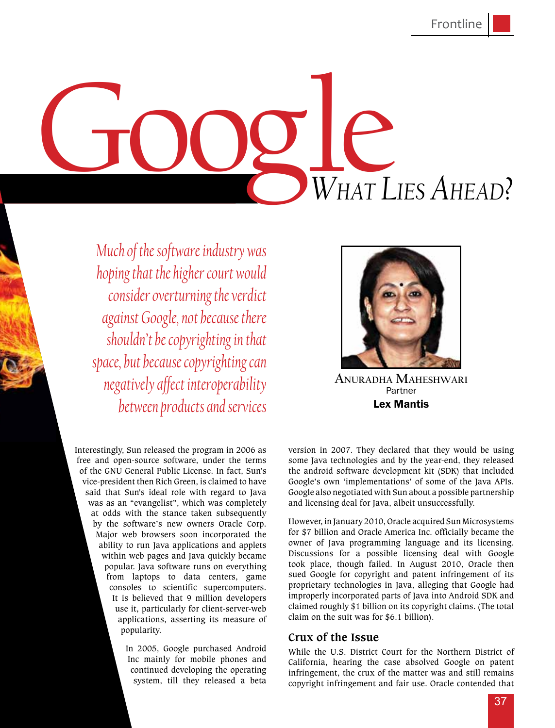# Google *What Lies Ahead?*

*Much of the software industry was hoping that the higher court would consider overturning the verdict against Google, not because there shouldn't be copyrighting in that space, but because copyrighting can negatively affect interoperability between products and services* 



Partner Lex Mantis **Anuradha Maheshwari**

Interestingly, Sun released the program in 2006 as free and open-source software, under the terms of the GNU General Public License. In fact, Sun's vice-president then Rich Green, is claimed to have said that Sun's ideal role with regard to Java was as an "evangelist", which was completely at odds with the stance taken subsequently by the software's new owners Oracle Corp. Major web browsers soon incorporated the ability to run Java applications and applets within web pages and Java quickly became popular. Java software runs on everything from laptops to data centers, game consoles to scientific supercomputers. It is believed that 9 million developers use it, particularly for client-server-web applications, asserting its measure of popularity.

> In 2005, Google purchased Android Inc mainly for mobile phones and continued developing the operating system, till they released a beta

version in 2007. They declared that they would be using some Java technologies and by the year-end, they released the android software development kit (SDK) that included Google's own 'implementations' of some of the Java APIs. Google also negotiated with Sun about a possible partnership and licensing deal for Java, albeit unsuccessfully.

However, in January 2010, Oracle acquired Sun Microsystems for \$7 billion and Oracle America Inc. officially became the owner of Java programming language and its licensing. Discussions for a possible licensing deal with Google took place, though failed. In August 2010, Oracle then sued Google for copyright and patent infringement of its proprietary technologies in Java, alleging that Google had improperly incorporated parts of Java into Android SDK and claimed roughly \$1 billion on its copyright claims. (The total claim on the suit was for \$6.1 billion).

### **Crux of the Issue**

While the U.S. District Court for the Northern District of California, hearing the case absolved Google on patent infringement, the crux of the matter was and still remains copyright infringement and fair use. Oracle contended that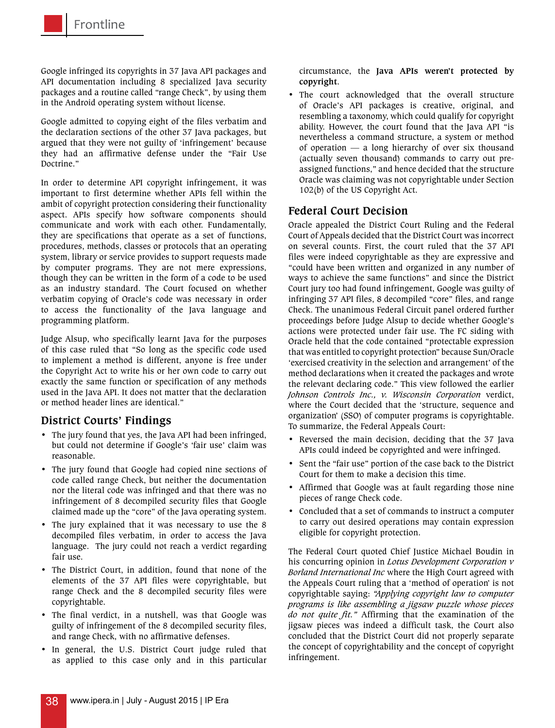Google infringed its copyrights in 37 Java API packages and API documentation including 8 specialized Java security packages and a routine called "range Check", by using them in the Android operating system without license.

Google admitted to copying eight of the files verbatim and the declaration sections of the other 37 Java packages, but argued that they were not guilty of 'infringement' because they had an affirmative defense under the "Fair Use Doctrine."

In order to determine API copyright infringement, it was important to first determine whether APIs fell within the ambit of copyright protection considering their functionality aspect. APIs specify how software components should communicate and work with each other. Fundamentally, they are specifications that operate as a set of functions, procedures, methods, classes or protocols that an operating system, library or service provides to support requests made by computer programs. They are not mere expressions, though they can be written in the form of a code to be used as an industry standard. The Court focused on whether verbatim copying of Oracle's code was necessary in order to access the functionality of the Java language and programming platform.

Judge Alsup, who specifically learnt Java for the purposes of this case ruled that "So long as the specific code used to implement a method is different, anyone is free under the Copyright Act to write his or her own code to carry out exactly the same function or specification of any methods used in the Java API. It does not matter that the declaration or method header lines are identical."

# **District Courts' Findings**

- • The jury found that yes, the Java API had been infringed, but could not determine if Google's 'fair use' claim was reasonable.
- The jury found that Google had copied nine sections of code called range Check, but neither the documentation nor the literal code was infringed and that there was no infringement of 8 decompiled security files that Google claimed made up the "core" of the Java operating system.
- The jury explained that it was necessary to use the 8 decompiled files verbatim, in order to access the Java language. The jury could not reach a verdict regarding fair use.
- • The District Court, in addition, found that none of the elements of the 37 API files were copyrightable, but range Check and the 8 decompiled security files were copyrightable.
- • The final verdict, in a nutshell, was that Google was guilty of infringement of the 8 decompiled security files, and range Check, with no affirmative defenses.
- In general, the U.S. District Court judge ruled that as applied to this case only and in this particular

circumstance, the **Java APIs weren't protected by copyright**.

• The court acknowledged that the overall structure of Oracle's API packages is creative, original, and resembling a taxonomy, which could qualify for copyright ability. However, the court found that the Java API "is nevertheless a command structure, a system or method of operation  $-$  a long hierarchy of over six thousand (actually seven thousand) commands to carry out preassigned functions," and hence decided that the structure Oracle was claiming was not copyrightable under Section 102(b) of the US Copyright Act.

# **Federal Court Decision**

Oracle appealed the District Court Ruling and the Federal Court of Appeals decided that the District Court was incorrect on several counts. First, the court ruled that the 37 API files were indeed copyrightable as they are expressive and "could have been written and organized in any number of ways to achieve the same functions" and since the District Court jury too had found infringement, Google was guilty of infringing 37 API files, 8 decompiled "core" files, and range Check. The unanimous Federal Circuit panel ordered further proceedings before Judge Alsup to decide whether Google's actions were protected under fair use. The FC siding with Oracle held that the code contained "protectable expression that was entitled to copyright protection" because Sun/Oracle 'exercised creativity in the selection and arrangement' of the method declarations when it created the packages and wrote the relevant declaring code." This view followed the earlier *Johnson Controls Inc., v. Wisconsin Corporation* verdict, where the Court decided that the 'structure, sequence and organization' (SSO) of computer programs is copyrightable. To summarize, the Federal Appeals Court:

- Reversed the main decision, deciding that the 37 Java APIs could indeed be copyrighted and were infringed.
- • Sent the "fair use" portion of the case back to the District Court for them to make a decision this time.
- Affirmed that Google was at fault regarding those nine pieces of range Check code.
- • Concluded that a set of commands to instruct a computer to carry out desired operations may contain expression eligible for copyright protection.

The Federal Court quoted Chief Justice Michael Boudin in his concurring opinion in *Lotus Development Corporation v Borland International Inc* where the High Court agreed with the Appeals Court ruling that a 'method of operation' is not copyrightable saying: *"Applying copyright law to computer programs is like assembling a jigsaw puzzle whose pieces do not quite fit."* Affirming that the examination of the jigsaw pieces was indeed a difficult task, the Court also concluded that the District Court did not properly separate the concept of copyrightability and the concept of copyright infringement.